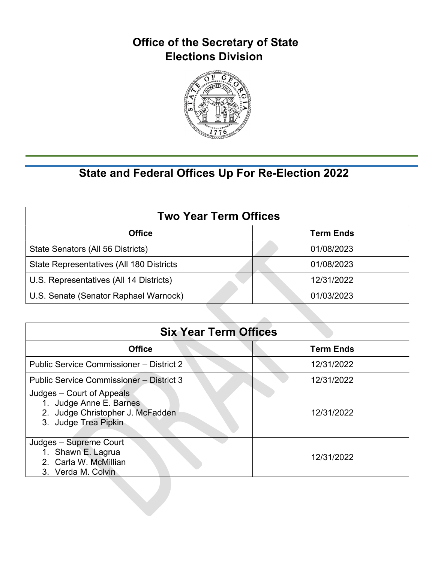

| <b>Two Year Term Offices</b>             |                  |  |
|------------------------------------------|------------------|--|
| <b>Office</b>                            | <b>Term Ends</b> |  |
| State Senators (All 56 Districts)        | 01/08/2023       |  |
| State Representatives (All 180 Districts | 01/08/2023       |  |
| U.S. Representatives (All 14 Districts)  | 12/31/2022       |  |
| U.S. Senate (Senator Raphael Warnock)    | 01/03/2023       |  |

| <b>Six Year Term Offices</b>                                                                                     |                  |  |
|------------------------------------------------------------------------------------------------------------------|------------------|--|
| <b>Office</b>                                                                                                    | <b>Term Ends</b> |  |
| Public Service Commissioner - District 2                                                                         | 12/31/2022       |  |
| Public Service Commissioner - District 3                                                                         | 12/31/2022       |  |
| Judges – Court of Appeals<br>1. Judge Anne E. Barnes<br>2. Judge Christopher J. McFadden<br>3. Judge Trea Pipkin | 12/31/2022       |  |
| Judges - Supreme Court<br>1. Shawn E. Lagrua<br>2. Carla W. McMillian<br>3. Verda M. Colvin                      | 12/31/2022       |  |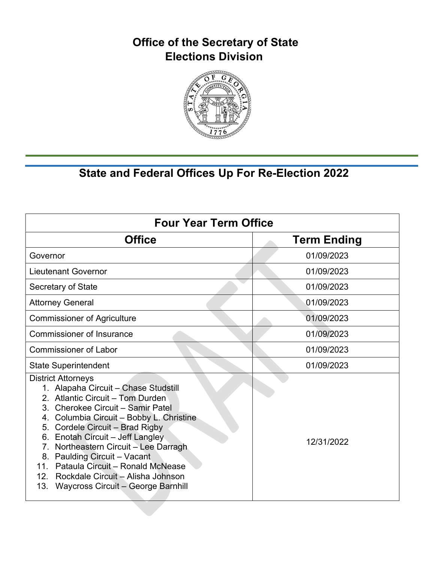

| <b>Four Year Term Office</b>                                                                                                                                                                                                                                                                                                                                                                                                                                                                                         |                    |  |
|----------------------------------------------------------------------------------------------------------------------------------------------------------------------------------------------------------------------------------------------------------------------------------------------------------------------------------------------------------------------------------------------------------------------------------------------------------------------------------------------------------------------|--------------------|--|
| <b>Office</b>                                                                                                                                                                                                                                                                                                                                                                                                                                                                                                        | <b>Term Ending</b> |  |
| Governor                                                                                                                                                                                                                                                                                                                                                                                                                                                                                                             | 01/09/2023         |  |
| <b>Lieutenant Governor</b>                                                                                                                                                                                                                                                                                                                                                                                                                                                                                           | 01/09/2023         |  |
| Secretary of State                                                                                                                                                                                                                                                                                                                                                                                                                                                                                                   | 01/09/2023         |  |
| <b>Attorney General</b>                                                                                                                                                                                                                                                                                                                                                                                                                                                                                              | 01/09/2023         |  |
| <b>Commissioner of Agriculture</b>                                                                                                                                                                                                                                                                                                                                                                                                                                                                                   | 01/09/2023         |  |
| <b>Commissioner of Insurance</b>                                                                                                                                                                                                                                                                                                                                                                                                                                                                                     | 01/09/2023         |  |
| <b>Commissioner of Labor</b>                                                                                                                                                                                                                                                                                                                                                                                                                                                                                         | 01/09/2023         |  |
| <b>State Superintendent</b>                                                                                                                                                                                                                                                                                                                                                                                                                                                                                          | 01/09/2023         |  |
| <b>District Attorneys</b><br>1. Alapaha Circuit - Chase Studstill<br>2. Atlantic Circuit - Tom Durden<br>3. Cherokee Circuit - Samir Patel<br>Columbia Circuit - Bobby L. Christine<br>4.<br>Cordele Circuit - Brad Rigby<br>5.<br>Enotah Circuit - Jeff Langley<br>6.<br>Northeastern Circuit - Lee Darragh<br>$7_{\scriptscriptstyle{\ddots}}$<br>Paulding Circuit - Vacant<br>8.<br>11. Pataula Circuit - Ronald McNease<br>Rockdale Circuit - Alisha Johnson<br>12.<br>13.<br>Waycross Circuit - George Barnhill | 12/31/2022         |  |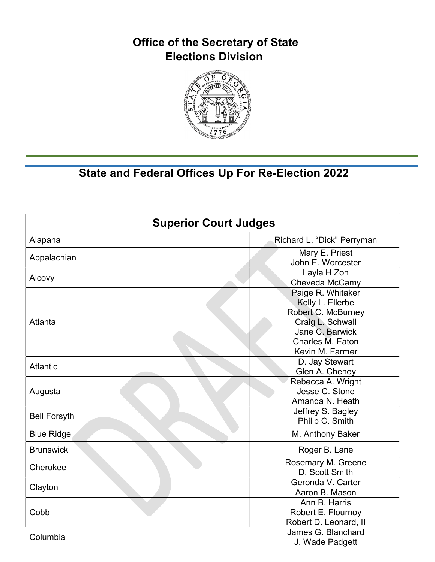

| <b>Superior Court Judges</b> |                                                                                                                                           |
|------------------------------|-------------------------------------------------------------------------------------------------------------------------------------------|
| Alapaha                      | Richard L. "Dick" Perryman                                                                                                                |
| Appalachian                  | Mary E. Priest<br>John E. Worcester                                                                                                       |
| Alcovy                       | Layla H Zon<br>Cheveda McCamy                                                                                                             |
| Atlanta                      | Paige R. Whitaker<br>Kelly L. Ellerbe<br>Robert C. McBurney<br>Craig L. Schwall<br>Jane C. Barwick<br>Charles M. Eaton<br>Kevin M. Farmer |
| <b>Atlantic</b>              | D. Jay Stewart<br>Glen A. Cheney                                                                                                          |
| Augusta                      | Rebecca A. Wright<br>Jesse C. Stone<br>Amanda N. Heath                                                                                    |
| <b>Bell Forsyth</b>          | Jeffrey S. Bagley<br>Philip C. Smith                                                                                                      |
| <b>Blue Ridge</b>            | M. Anthony Baker                                                                                                                          |
| <b>Brunswick</b>             | Roger B. Lane                                                                                                                             |
| Cherokee                     | Rosemary M. Greene<br>D. Scott Smith                                                                                                      |
| Clayton                      | Geronda V. Carter<br>Aaron B. Mason                                                                                                       |
| Cobb                         | Ann B. Harris<br>Robert E. Flournoy<br>Robert D. Leonard, II                                                                              |
| Columbia                     | James G. Blanchard<br>J. Wade Padgett                                                                                                     |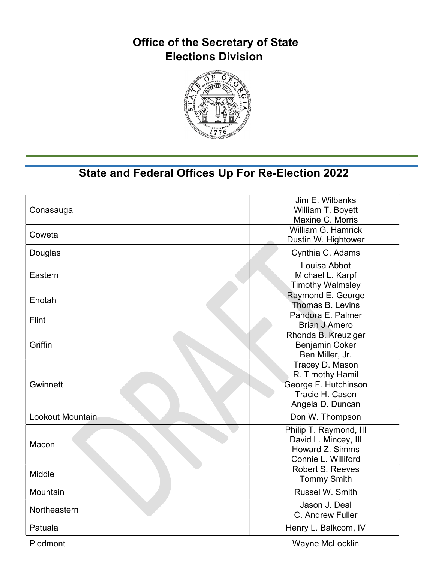

| Conasauga        | Jim E. Wilbanks<br>William T. Boyett<br>Maxine C. Morris                                           |
|------------------|----------------------------------------------------------------------------------------------------|
| Coweta           | William G. Hamrick<br>Dustin W. Hightower                                                          |
| Douglas          | Cynthia C. Adams                                                                                   |
| Eastern          | Louisa Abbot<br>Michael L. Karpf<br><b>Timothy Walmsley</b>                                        |
| Enotah           | Raymond E. George<br>Thomas B. Levins                                                              |
| Flint            | Pandora E. Palmer<br><b>Brian J Amero</b>                                                          |
| Griffin          | Rhonda B. Kreuziger<br><b>Benjamin Coker</b><br>Ben Miller, Jr.                                    |
| Gwinnett         | Tracey D. Mason<br>R. Timothy Hamil<br>George F. Hutchinson<br>Tracie H. Cason<br>Angela D. Duncan |
| Lookout Mountain | Don W. Thompson                                                                                    |
| Macon            | Philip T. Raymond, III<br>David L. Mincey, III<br>Howard Z. Simms<br>Connie L. Williford           |
| Middle           | <b>Robert S. Reeves</b><br><b>Tommy Smith</b>                                                      |
| Mountain         | Russel W. Smith                                                                                    |
| Northeastern     | Jason J. Deal<br>C. Andrew Fuller                                                                  |
| Patuala          | Henry L. Balkcom, IV                                                                               |
| Piedmont         | Wayne McLocklin                                                                                    |